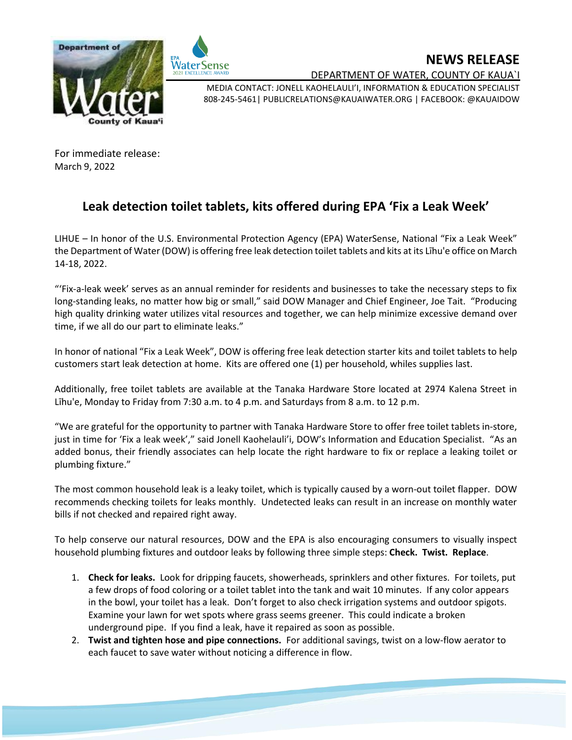



**NEWS RELEASE**

DEPARTMENT OF WATER, COUNTY OF KAUA`I

MEDIA CONTACT: JONELL KAOHELAULI'I, INFORMATION & EDUCATION SPECIALIST 808-245-5461| PUBLICRELATIONS@KAUAIWATER.ORG | FACEBOOK: @KAUAIDOW

For immediate release: March 9, 2022

## **Leak detection toilet tablets, kits offered during EPA 'Fix a Leak Week'**

LIHUE – In honor of the U.S. Environmental Protection Agency (EPA) WaterSense, National "Fix a Leak Week" the Department of Water (DOW) is offering free leak detection toilet tablets and kits at its Līhu'e office on March 14-18, 2022.

"'Fix-a-leak week' serves as an annual reminder for residents and businesses to take the necessary steps to fix long-standing leaks, no matter how big or small," said DOW Manager and Chief Engineer, Joe Tait. "Producing high quality drinking water utilizes vital resources and together, we can help minimize excessive demand over time, if we all do our part to eliminate leaks."

In honor of national "Fix a Leak Week", DOW is offering free leak detection starter kits and toilet tablets to help customers start leak detection at home. Kits are offered one (1) per household, whiles supplies last.

Additionally, free toilet tablets are available at the Tanaka Hardware Store located at 2974 Kalena Street in Līhu'e, Monday to Friday from 7:30 a.m. to 4 p.m. and Saturdays from 8 a.m. to 12 p.m.

"We are grateful for the opportunity to partner with Tanaka Hardware Store to offer free toilet tablets in-store, just in time for 'Fix a leak week'," said Jonell Kaohelauli'i, DOW's Information and Education Specialist. "As an added bonus, their friendly associates can help locate the right hardware to fix or replace a leaking toilet or plumbing fixture."

The most common household leak is a leaky toilet, which is typically caused by a worn-out toilet flapper. DOW recommends checking toilets for leaks monthly. Undetected leaks can result in an increase on monthly water bills if not checked and repaired right away.

To help conserve our natural resources, DOW and the EPA is also encouraging consumers to visually inspect household plumbing fixtures and outdoor leaks by following three simple steps: **Check. Twist. Replace**.

- 1. **Check for leaks.** Look for dripping faucets, showerheads, sprinklers and other fixtures. For toilets, put a few drops of food coloring or a toilet tablet into the tank and wait 10 minutes. If any color appears in the bowl, your toilet has a leak. Don't forget to also check irrigation systems and outdoor spigots. Examine your lawn for wet spots where grass seems greener. This could indicate a broken underground pipe. If you find a leak, have it repaired as soon as possible.
- 2. **Twist and tighten hose and pipe connections.** For additional savings, twist on a low-flow aerator to each faucet to save water without noticing a difference in flow.